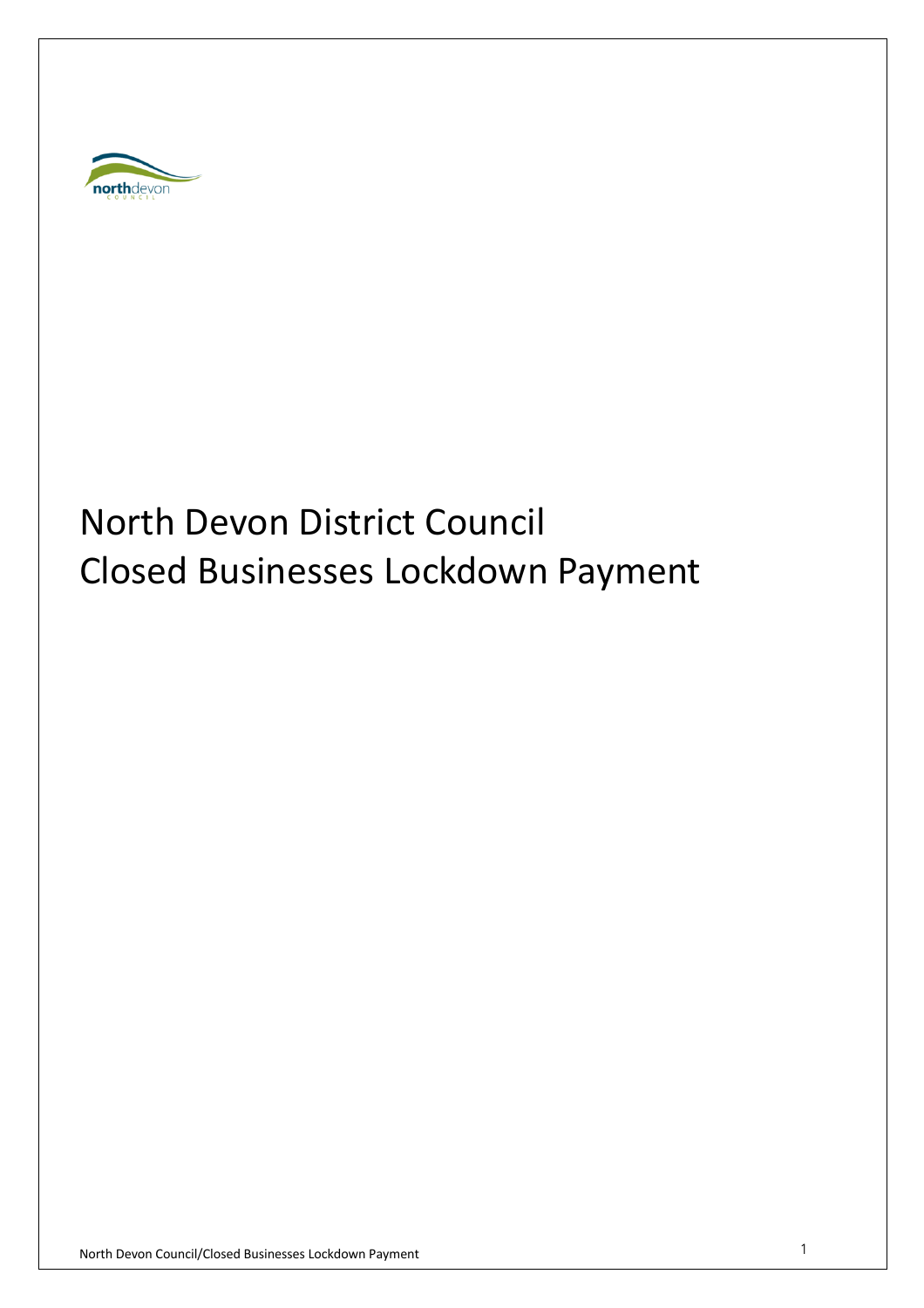

# North Devon District Council Closed Businesses Lockdown Payment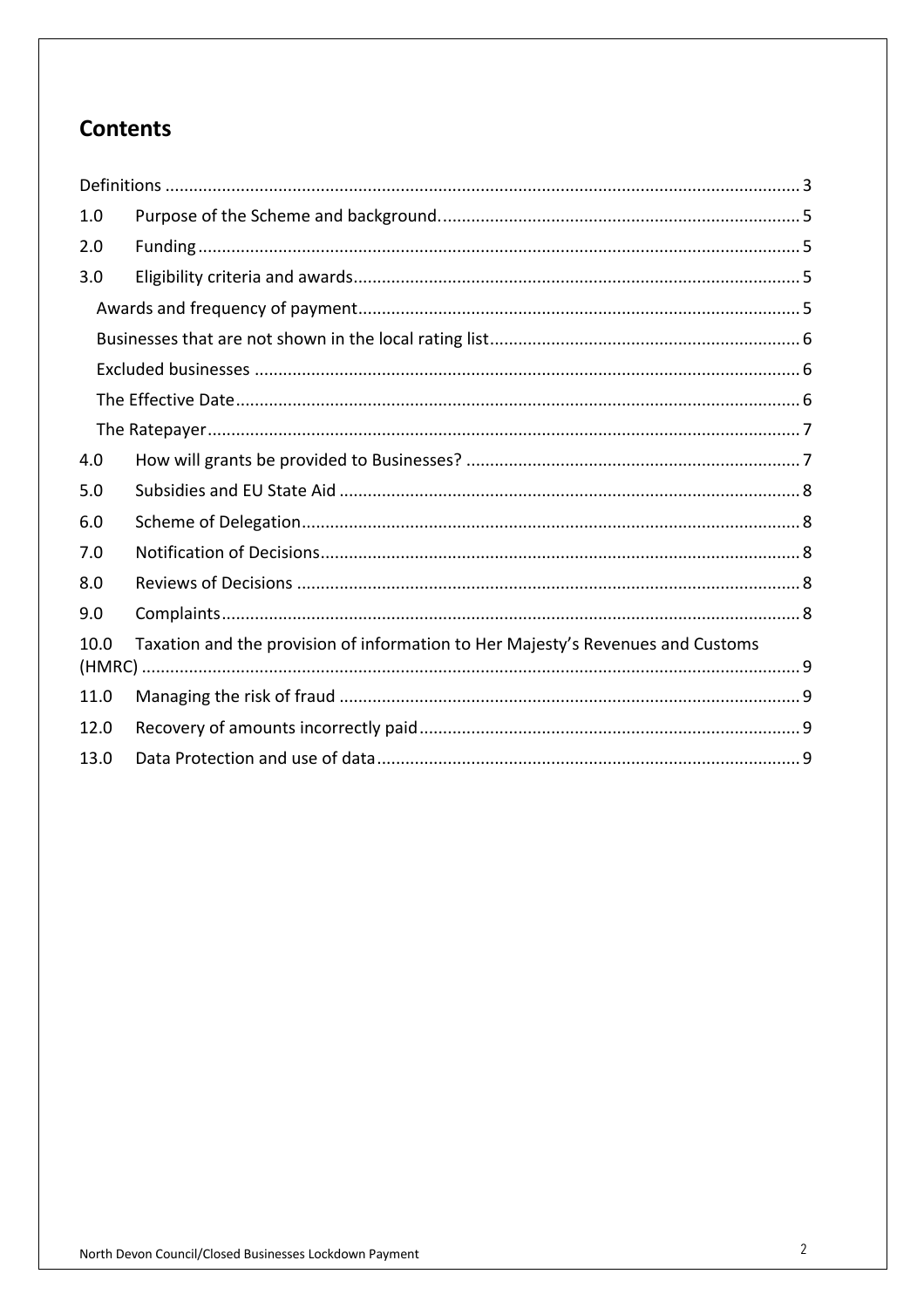# **Contents**

| 1.0  |                                                                                 |  |
|------|---------------------------------------------------------------------------------|--|
| 2.0  |                                                                                 |  |
| 3.0  |                                                                                 |  |
|      |                                                                                 |  |
|      |                                                                                 |  |
|      |                                                                                 |  |
|      |                                                                                 |  |
|      |                                                                                 |  |
| 4.0  |                                                                                 |  |
| 5.0  |                                                                                 |  |
| 6.0  |                                                                                 |  |
| 7.0  |                                                                                 |  |
| 8.0  |                                                                                 |  |
| 9.0  |                                                                                 |  |
| 10.0 | Taxation and the provision of information to Her Majesty's Revenues and Customs |  |
| 11.0 |                                                                                 |  |
| 12.0 |                                                                                 |  |
| 13.0 |                                                                                 |  |
|      |                                                                                 |  |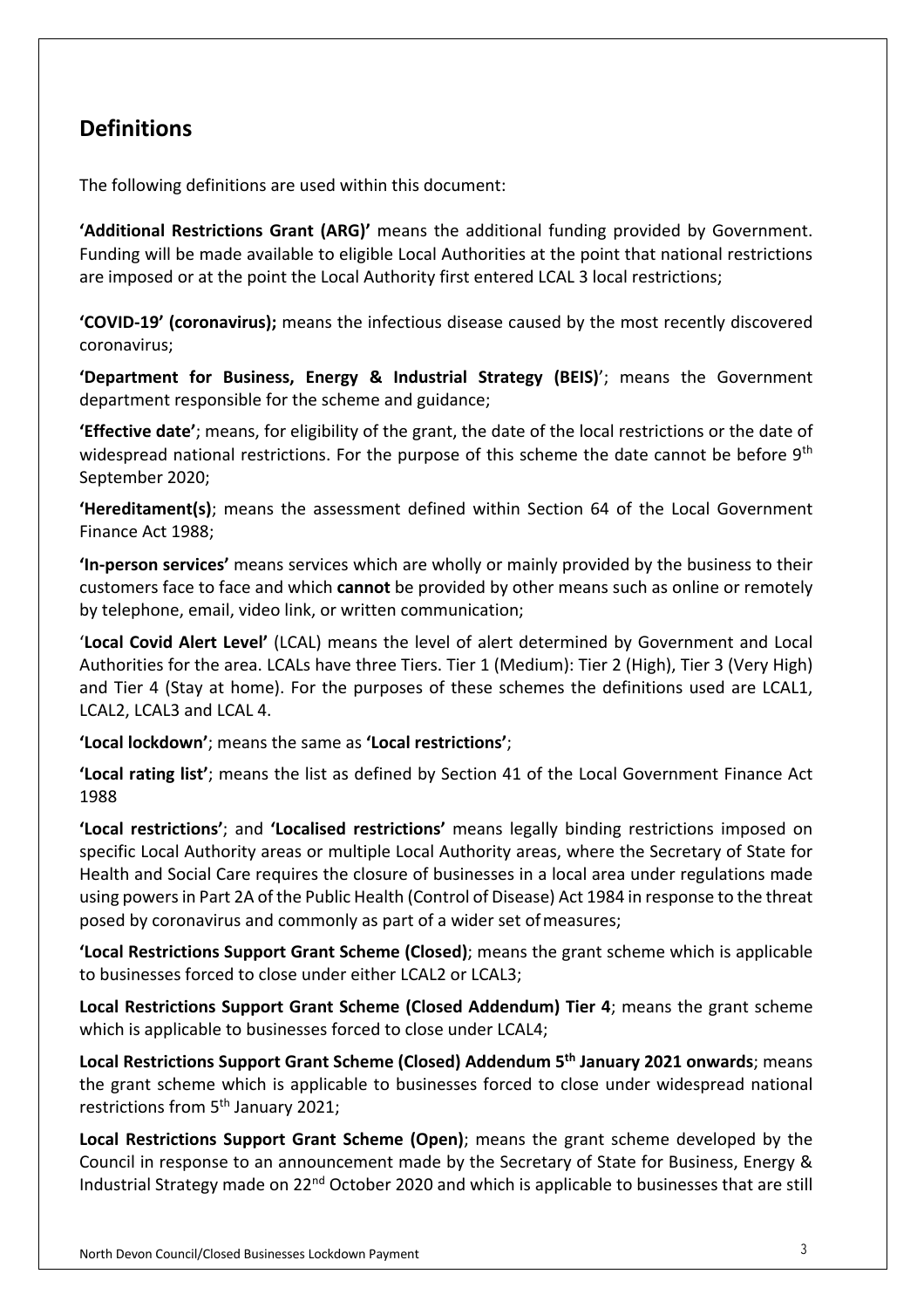# **Definitions**

The following definitions are used within this document:

**'Additional Restrictions Grant (ARG)'** means the additional funding provided by Government. Funding will be made available to eligible Local Authorities at the point that national restrictions are imposed or at the point the Local Authority first entered LCAL 3 local restrictions;

**'COVID-19' (coronavirus);** means the infectious disease caused by the most recently discovered coronavirus;

**'Department for Business, Energy & Industrial Strategy (BEIS)**'; means the Government department responsible for the scheme and guidance;

**'Effective date'**; means, for eligibility of the grant, the date of the local restrictions or the date of widespread national restrictions. For the purpose of this scheme the date cannot be before 9<sup>th</sup> September 2020;

**'Hereditament(s)**; means the assessment defined within Section 64 of the Local Government Finance Act 1988;

**'In-person services'** means services which are wholly or mainly provided by the business to their customers face to face and which **cannot** be provided by other means such as online or remotely by telephone, email, video link, or written communication;

'**Local Covid Alert Level'** (LCAL) means the level of alert determined by Government and Local Authorities for the area. LCALs have three Tiers. Tier 1 (Medium): Tier 2 (High), Tier 3 (Very High) and Tier 4 (Stay at home). For the purposes of these schemes the definitions used are LCAL1, LCAL2, LCAL3 and LCAL 4.

**'Local lockdown'**; means the same as **'Local restrictions'**;

**'Local rating list'**; means the list as defined by Section 41 of the Local Government Finance Act 1988

**'Local restrictions'**; and **'Localised restrictions'** means legally binding restrictions imposed on specific Local Authority areas or multiple Local Authority areas, where the Secretary of State for Health and Social Care requires the closure of businesses in a local area under regulations made using powers in Part 2A of the Public Health (Control of Disease) Act 1984 in response to the threat posed by coronavirus and commonly as part of a wider set ofmeasures;

**'Local Restrictions Support Grant Scheme (Closed)**; means the grant scheme which is applicable to businesses forced to close under either LCAL2 or LCAL3;

**Local Restrictions Support Grant Scheme (Closed Addendum) Tier 4**; means the grant scheme which is applicable to businesses forced to close under LCAL4;

**Local Restrictions Support Grant Scheme (Closed) Addendum 5th January 2021 onwards**; means the grant scheme which is applicable to businesses forced to close under widespread national restrictions from 5<sup>th</sup> January 2021;

**Local Restrictions Support Grant Scheme (Open)**; means the grant scheme developed by the Council in response to an announcement made by the Secretary of State for Business, Energy & Industrial Strategy made on  $22^{nd}$  October 2020 and which is applicable to businesses that are still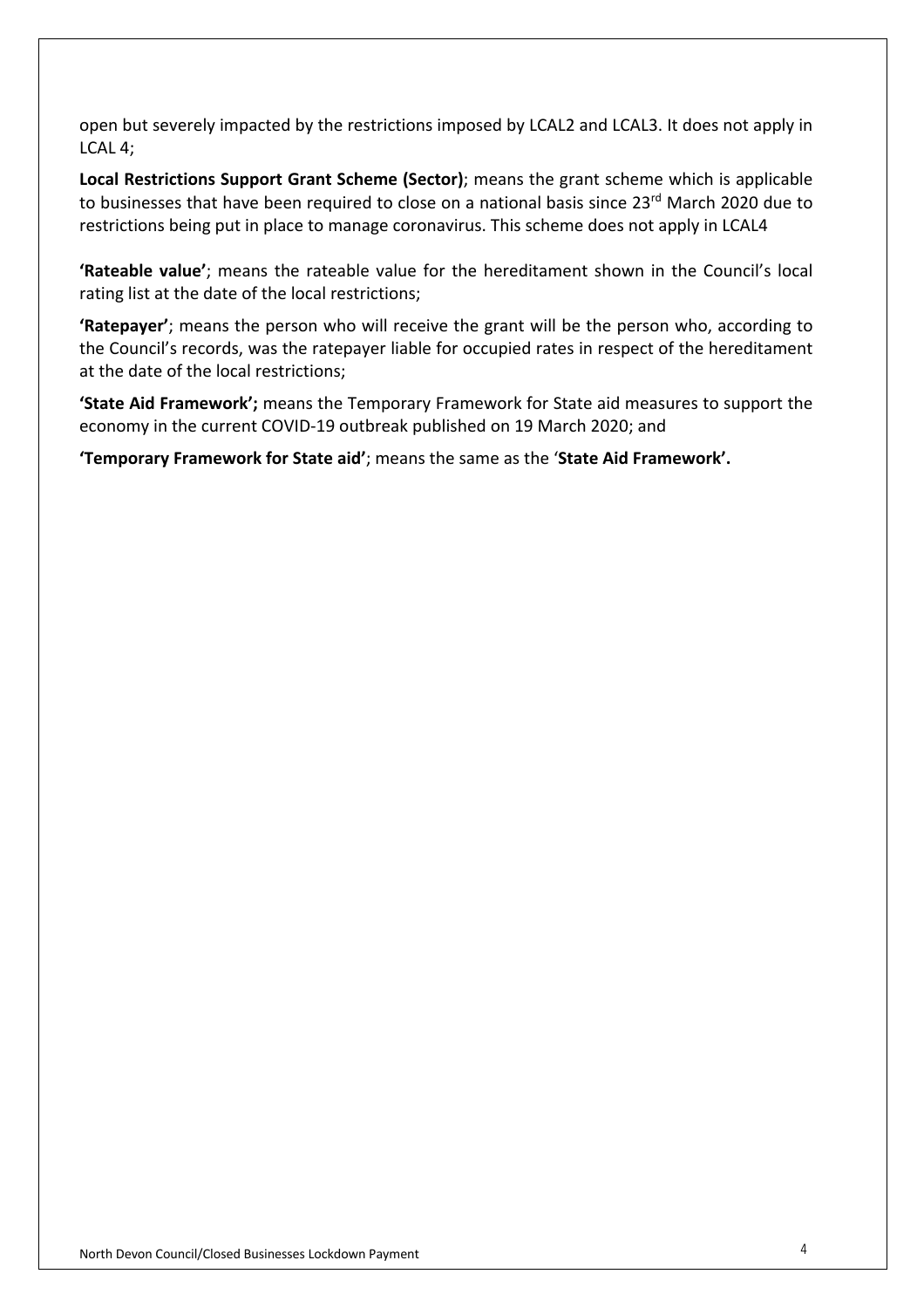open but severely impacted by the restrictions imposed by LCAL2 and LCAL3. It does not apply in LCAL 4;

**Local Restrictions Support Grant Scheme (Sector)**; means the grant scheme which is applicable to businesses that have been required to close on a national basis since 23<sup>rd</sup> March 2020 due to restrictions being put in place to manage coronavirus. This scheme does not apply in LCAL4

**'Rateable value'**; means the rateable value for the hereditament shown in the Council's local rating list at the date of the local restrictions;

**'Ratepayer'**; means the person who will receive the grant will be the person who, according to the Council's records, was the ratepayer liable for occupied rates in respect of the hereditament at the date of the local restrictions;

**'State Aid Framework';** means the Temporary Framework for State aid measures to support the economy in the current COVID-19 outbreak published on 19 March 2020; and

**'Temporary Framework for State aid'**; means the same as the ' **State Aid Framework' .**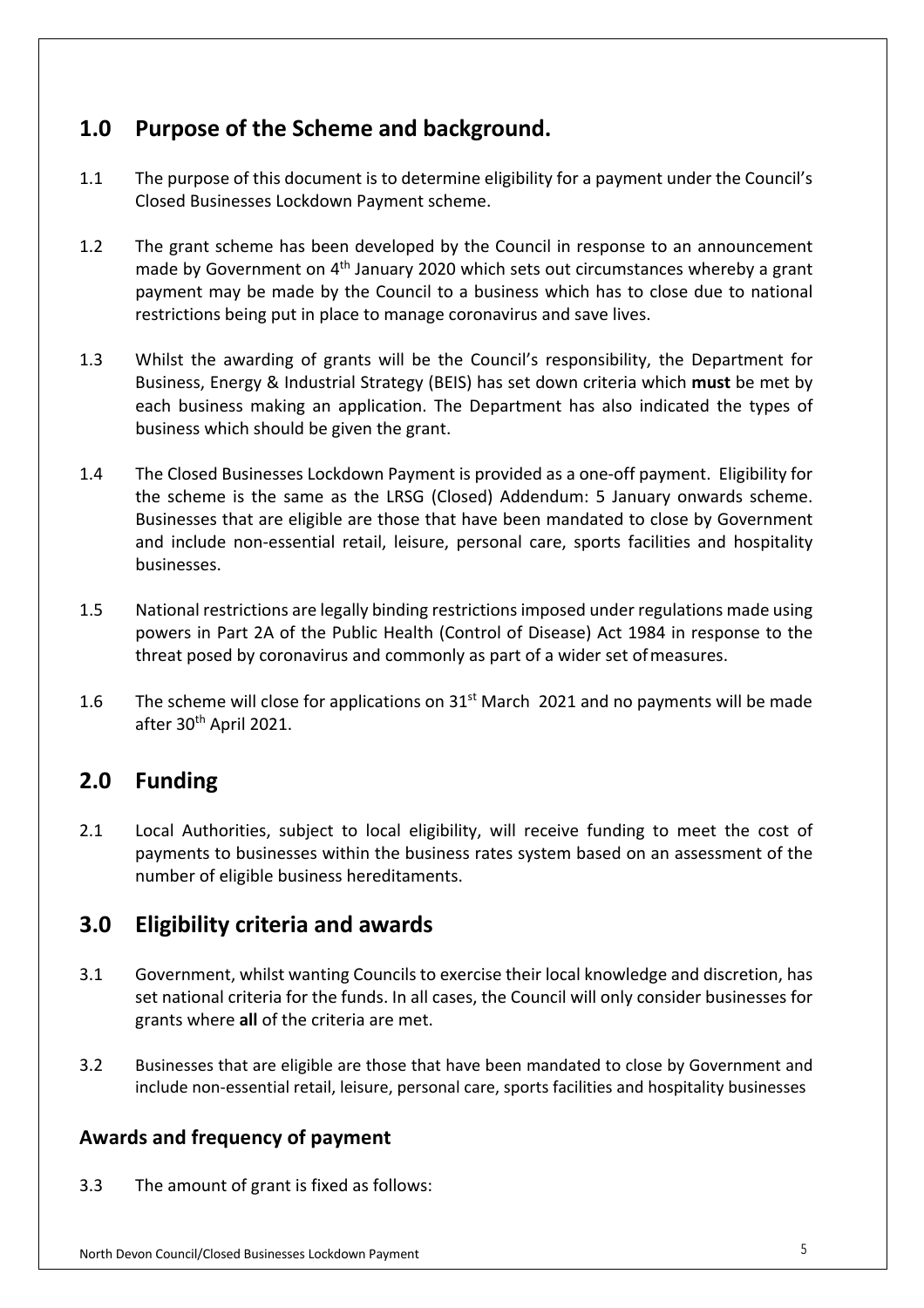# **1.0 Purpose of the Scheme and background.**

- 1.1 The purpose of this document is to determine eligibility for a payment under the Council's Closed Businesses Lockdown Payment scheme.
- 1.2 The grant scheme has been developed by the Council in response to an announcement made by Government on  $4<sup>th</sup>$  January 2020 which sets out circumstances whereby a grant payment may be made by the Council to a business which has to close due to national restrictions being put in place to manage coronavirus and save lives.
- 1.3 Whilst the awarding of grants will be the Council's responsibility, the Department for Business, Energy & Industrial Strategy (BEIS) has set down criteria which **must** be met by each business making an application. The Department has also indicated the types of business which should be given the grant.
- 1.4 The Closed Businesses Lockdown Payment is provided as a one-off payment. Eligibility for the scheme is the same as the LRSG (Closed) Addendum: 5 January onwards scheme. Businesses that are eligible are those that have been mandated to close by Government and include non-essential retail, leisure, personal care, sports facilities and hospitality businesses.
- 1.5 National restrictions are legally binding restrictions imposed under regulations made using powers in Part 2A of the Public Health (Control of Disease) Act 1984 in response to the threat posed by coronavirus and commonly as part of a wider set of measures.
- 1.6 The scheme will close for applications on  $31<sup>st</sup>$  March 2021 and no payments will be made after 30<sup>th</sup> April 2021.

# **2.0 Funding**

2.1 Local Authorities, subject to local eligibility, will receive funding to meet the cost of payments to businesses within the business rates system based on an assessment of the number of eligible business hereditaments.

# **3.0 Eligibility criteria and awards**

- 3.1 Government, whilst wanting Councils to exercise their local knowledge and discretion, has set national criteria for the funds. In all cases, the Council will only consider businesses for grants where **all** of the criteria are met.
- 3.2 Businesses that are eligible are those that have been mandated to close by Government and include non-essential retail, leisure, personal care, sports facilities and hospitality businesses

### **Awards and frequency of payment**

3.3 The amount of grant is fixed as follows: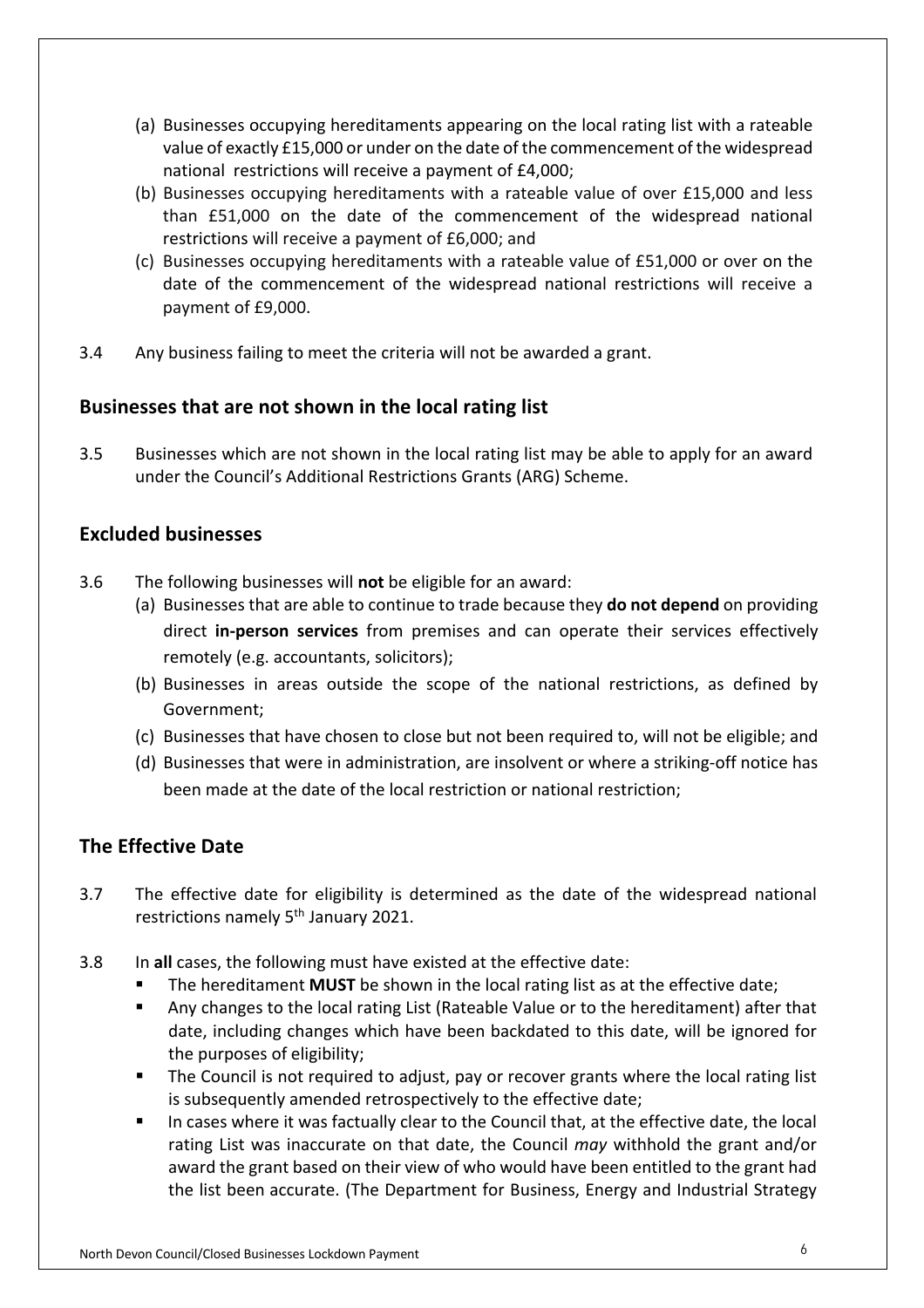- (a) Businesses occupying hereditaments appearing on the local rating list with a rateable value of exactly £15,000 or under on the date of the commencement of the widespread national restrictions will receive a payment of £4,000;
- (b) Businesses occupying hereditaments with a rateable value of over £15,000 and less than £51,000 on the date of the commencement of the widespread national restrictions will receive a payment of £6,000; and
- (c) Businesses occupying hereditaments with a rateable value of £51,000 or over on the date of the commencement of the widespread national restrictions will receive a payment of £9,000.
- 3.4 Any business failing to meet the criteria will not be awarded a grant.

#### **Businesses that are not shown in the local rating list**

3.5 Businesses which are not shown in the local rating list may be able to apply for an award under the Council's Additional Restrictions Grants (ARG) Scheme.

#### **Excluded businesses**

- 3.6 The following businesses will **not** be eligible for an award:
	- (a) Businesses that are able to continue to trade because they **do not depend** on providing direct **in-person services** from premises and can operate their services effectively remotely (e.g. accountants, solicitors);
	- (b) Businesses in areas outside the scope of the national restrictions, as defined by Government;
	- (c) Businesses that have chosen to close but not been required to, will not be eligible; and
	- (d) Businesses that were in administration, are insolvent or where a striking-off notice has been made at the date of the local restriction or national restriction;

#### **The Effective Date**

- 3.7 The effective date for eligibility is determined as the date of the widespread national restrictions namely 5<sup>th</sup> January 2021.
- 3.8 In **all** cases, the following must have existed at the effective date:
	- The hereditament **MUST** be shown in the local rating list as at the effective date;
	- Any changes to the local rating List (Rateable Value or to the hereditament) after that date, including changes which have been backdated to this date, will be ignored for the purposes of eligibility;
	- The Council is not required to adjust, pay or recover grants where the local rating list is subsequently amended retrospectively to the effective date;
	- In cases where it was factually clear to the Council that, at the effective date, the local rating List was inaccurate on that date, the Council *may* withhold the grant and/or award the grant based on their view of who would have been entitled to the grant had the list been accurate. (The Department for Business, Energy and Industrial Strategy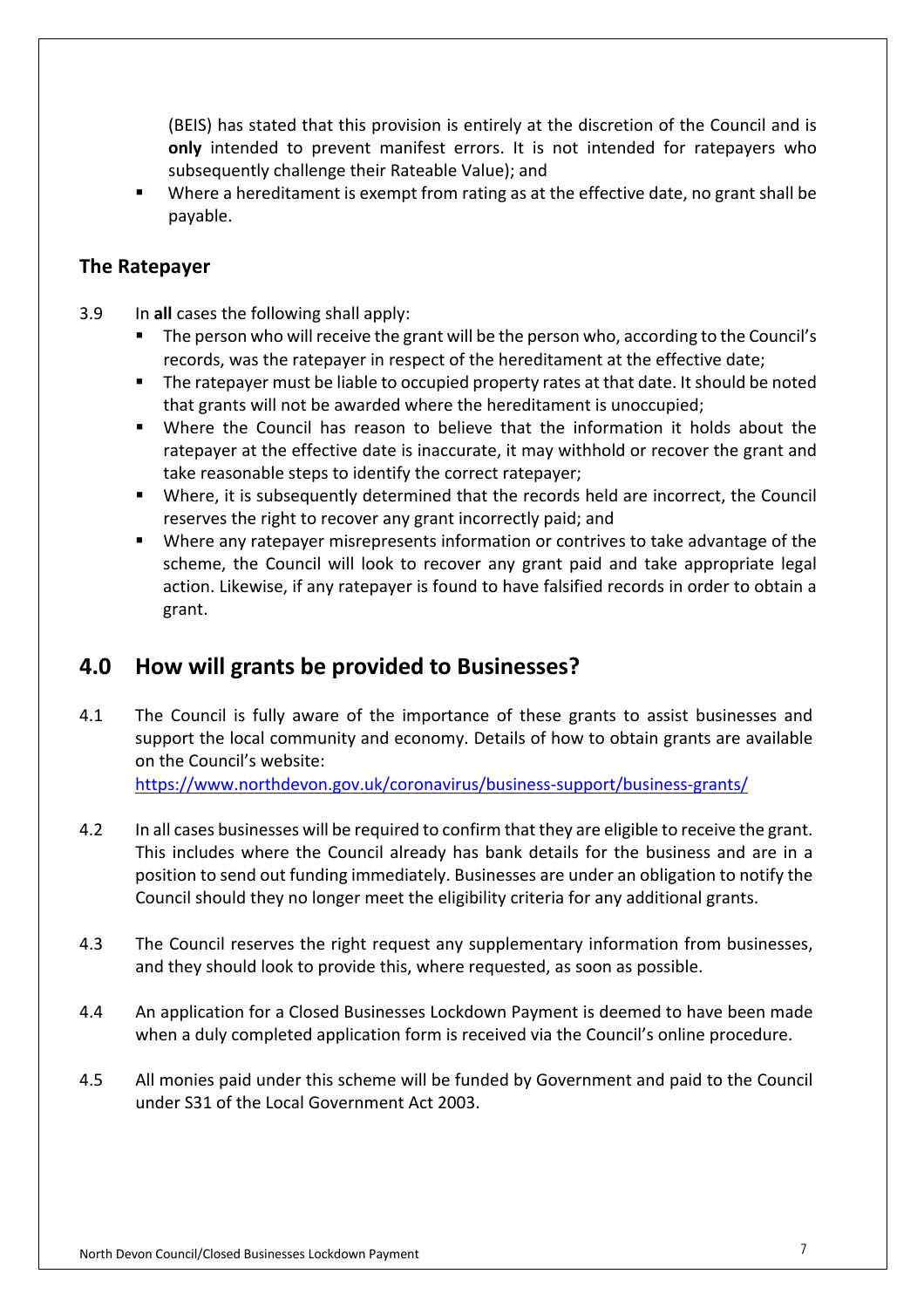(BEIS) has stated that this provision is entirely at the discretion of the Council and is **only** intended to prevent manifest errors. It is not intended for ratepayers who subsequently challenge their Rateable Value); and

• Where a hereditament is exempt from rating as at the effective date, no grant shall be payable.

#### **The Ratepayer**

- 3.9 In **all** cases the following shall apply:
	- The person who will receive the grant will be the person who, according to the Council's records, was the ratepayer in respect of the hereditament at the effective date;
	- The ratepayer must be liable to occupied property rates at that date. It should be noted that grants will not be awarded where the hereditament is unoccupied;
	- Where the Council has reason to believe that the information it holds about the ratepayer at the effective date is inaccurate, it may withhold or recover the grant and take reasonable steps to identify the correct ratepayer;
	- Where, it is subsequently determined that the records held are incorrect, the Council reserves the right to recover any grant incorrectly paid; and
	- Where any ratepayer misrepresents information or contrives to take advantage of the scheme, the Council will look to recover any grant paid and take appropriate legal action. Likewise, if any ratepayer is found to have falsified records in order to obtain a grant.

## **4.0 How will grants be provided to Businesses?**

4.1 The Council is fully aware of the importance of these grants to assist businesses and support the local community and economy. Details of how to obtain grants are available on the Council's website:

<https://www.northdevon.gov.uk/coronavirus/business-support/business-grants>/

- 4.2 In all cases businesses will be required to confirm that they are eligible to receive the grant. This includes where the Council already has bank details for the business and are in a position to send out funding immediately. Businesses are under an obligation to notify the Council should they no longer meet the eligibility criteria for any additional grants.
- 4.3 The Council reserves the right request any supplementary information from businesses, and they should look to provide this, where requested, as soon as possible.
- 4.4 An application for a Closed Businesses Lockdown Payment is deemed to have been made when a duly completed application form is received via the Council's online procedure.
- 4.5 All monies paid under this scheme will be funded by Government and paid to the Council under S31 of the Local Government Act 2003.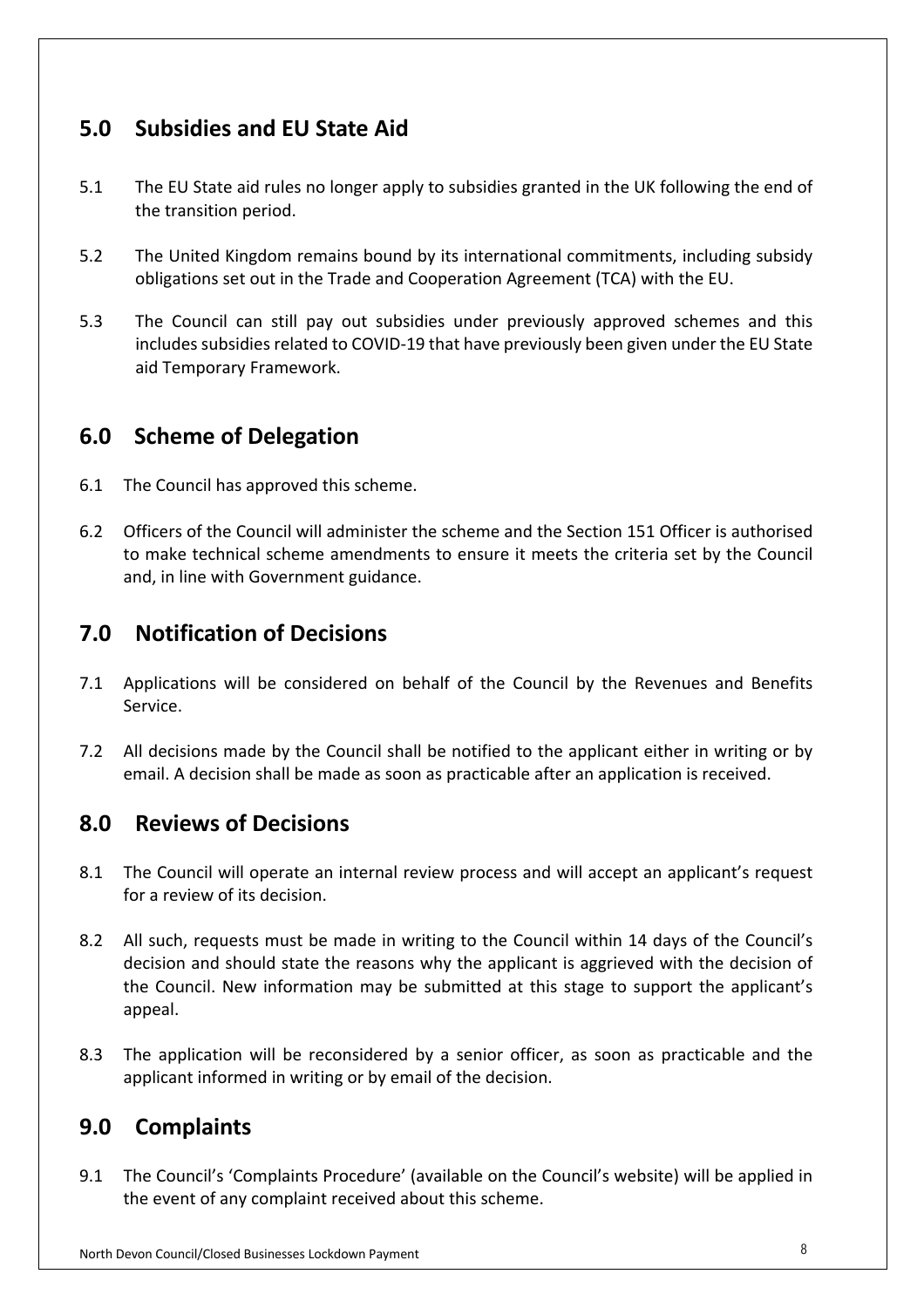# **5.0 Subsidies and EU State Aid**

- 5.1 The EU State aid rules no longer apply to subsidies granted in the UK following the end of the transition period.
- 5.2 The United Kingdom remains bound by its international commitments, including subsidy obligations set out in the Trade and Cooperation Agreement (TCA) with the EU.
- 5.3 The Council can still pay out subsidies under previously approved schemes and this includes subsidies related to COVID-19 that have previously been given under the EU State aid Temporary Framework.

# **6.0 Scheme of Delegation**

- 6.1 The Council has approved this scheme.
- 6.2 Officers of the Council will administer the scheme and the Section 151 Officer is authorised to make technical scheme amendments to ensure it meets the criteria set by the Council and, in line with Government guidance.

# **7.0 Notification of Decisions**

- 7.1 Applications will be considered on behalf of the Council by the Revenues and Benefits Service.
- 7.2 All decisions made by the Council shall be notified to the applicant either in writing or by email. A decision shall be made as soon as practicable after an application is received.

## **8.0 Reviews of Decisions**

- 8.1 The Council will operate an internal review process and will accept an applicant's request for a review of its decision.
- 8.2 All such, requests must be made in writing to the Council within 14 days of the Council's decision and should state the reasons why the applicant is aggrieved with the decision of the Council. New information may be submitted at this stage to support the applicant's appeal.
- 8.3 The application will be reconsidered by a senior officer, as soon as practicable and the applicant informed in writing or by email of the decision.

# **9.0 Complaints**

9.1 The Council's 'Complaints Procedure' (available on the Council's website) will be applied in the event of any complaint received about this scheme.